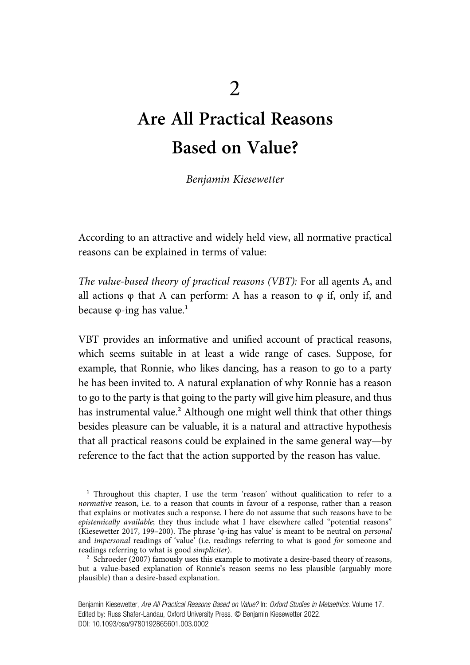# Are All Practical Reasons Based on Value?

Benjamin Kiesewetter

According to an attractive and widely held view, all normative practical reasons can be explained in terms of value:

The value-based theory of practical reasons (VBT): For all agents A, and all actions  $\varphi$  that A can perform: A has a reason to  $\varphi$  if, only if, and because  $\varphi$ -ing has value.<sup>1</sup>

VBT provides an informative and unified account of practical reasons, which seems suitable in at least a wide range of cases. Suppose, for example, that Ronnie, who likes dancing, has a reason to go to a party he has been invited to. A natural explanation of why Ronnie has a reason to go to the party is that going to the party will give him pleasure, and thus has instrumental value.² Although one might well think that other things besides pleasure can be valuable, it is a natural and attractive hypothesis that all practical reasons could be explained in the same general way—by reference to the fact that the action supported by the reason has value.

 $1$  Throughout this chapter, I use the term 'reason' without qualification to refer to a normative reason, i.e. to a reason that counts in favour of a response, rather than a reason that explains or motivates such a response. I here do not assume that such reasons have to be epistemically available; they thus include what I have elsewhere called "potential reasons" (Kiesewetter 2017, 199–200). The phrase 'φ-ing has value' is meant to be neutral on personal and impersonal readings of 'value' (i.e. readings referring to what is good for someone and readings referring to what is good simpliciter).

<sup>&</sup>lt;sup>2</sup> Schroeder (2007) famously uses this example to motivate a desire-based theory of reasons, but a value-based explanation of Ronnie's reason seems no less plausible (arguably more plausible) than a desire-based explanation.

Benjamin Kiesewetter, Are All Practical Reasons Based on Value? In: Oxford Studies in Metaethics. Volume 17. Edited by: Russ Shafer-Landau, Oxford University Press. © Benjamin Kiesewetter 2022. DOI: 10.1093/oso/9780192865601.003.0002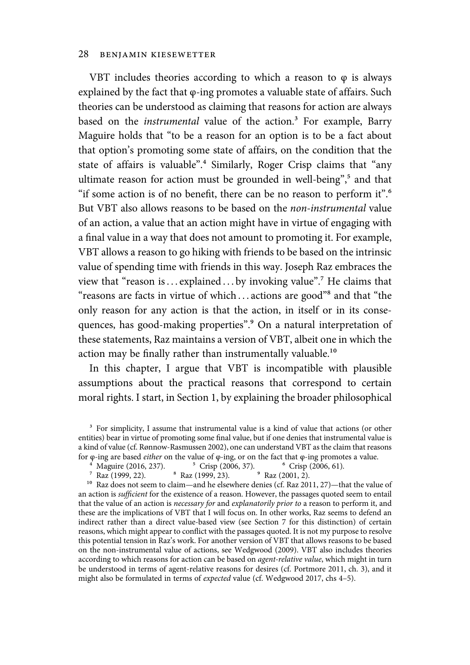VBT includes theories according to which a reason to  $\varphi$  is always explained by the fact that φ-ing promotes a valuable state of affairs. Such theories can be understood as claiming that reasons for action are always based on the *instrumental* value of the action.<sup>3</sup> For example, Barry Maguire holds that "to be a reason for an option is to be a fact about that option's promoting some state of affairs, on the condition that the state of affairs is valuable".<sup>4</sup> Similarly, Roger Crisp claims that "any ultimate reason for action must be grounded in well-being",<sup>5</sup> and that "if some action is of no benefit, there can be no reason to perform it".<sup>6</sup> But VBT also allows reasons to be based on the non-instrumental value of an action, a value that an action might have in virtue of engaging with a final value in a way that does not amount to promoting it. For example, VBT allows a reason to go hiking with friends to be based on the intrinsic value of spending time with friends in this way. Joseph Raz embraces the view that "reason is... explained ... by invoking value".<sup>7</sup> He claims that "reasons are facts in virtue of which ... actions are good"<sup>8</sup> and that "the only reason for any action is that the action, in itself or in its consequences, has good-making properties".<sup>9</sup> On a natural interpretation of these statements, Raz maintains a version of VBT, albeit one in which the action may be finally rather than instrumentally valuable.<sup>10</sup>

In this chapter, I argue that VBT is incompatible with plausible assumptions about the practical reasons that correspond to certain moral rights. I start, in Section 1, by explaining the broader philosophical

 $10$  Raz does not seem to claim—and he elsewhere denies (cf. Raz 2011, 27)—that the value of an action is sufficient for the existence of a reason. However, the passages quoted seem to entail that the value of an action is necessary for and explanatorily prior to a reason to perform it, and these are the implications of VBT that I will focus on. In other works, Raz seems to defend an indirect rather than a direct value-based view (see Section 7 for this distinction) of certain reasons, which might appear to conflict with the passages quoted. It is not my purpose to resolve this potential tension in Raz's work. For another version of VBT that allows reasons to be based on the non-instrumental value of actions, see Wedgwood (2009). VBT also includes theories according to which reasons for action can be based on agent-relative value, which might in turn be understood in terms of agent-relative reasons for desires (cf. Portmore 2011, ch. 3), and it might also be formulated in terms of expected value (cf. Wedgwood 2017, chs 4–5).

<sup>&</sup>lt;sup>3</sup> For simplicity, I assume that instrumental value is a kind of value that actions (or other entities) bear in virtue of promoting some final value, but if one denies that instrumental value is a kind of value (cf. Rønnow-Rasmussen 2002), one can understand VBT as the claim that reasons

for φ-ing are based *either* on the value of φ-ing, or on the fact that φ-ing promotes a value.<br><sup>4</sup> Maguire (2016, 237). <sup>5</sup> Crisp (2006, 37). <sup>6</sup> Crisp (2006, 61).

Maguire (2016, 237). <sup>5</sup> Crisp (2006, 37). <sup>6</sup> Crisp (<br>Raz (1999, 22). <sup>8</sup> Raz (1999, 23). <sup>9</sup> Raz (2001, 2). ⁷ Raz (1999, 22). ⁸ Raz (1999, 23). ⁹ Raz (2001, 2).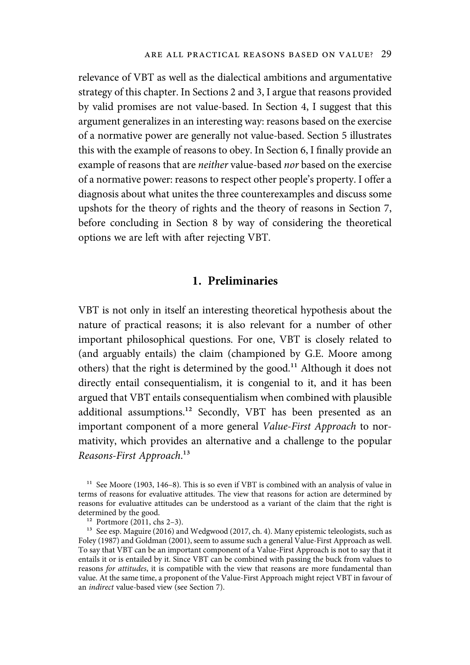relevance of VBT as well as the dialectical ambitions and argumentative strategy of this chapter. In Sections 2 and 3, I argue that reasons provided by valid promises are not value-based. In Section 4, I suggest that this argument generalizes in an interesting way: reasons based on the exercise of a normative power are generally not value-based. Section 5 illustrates this with the example of reasons to obey. In Section 6, I finally provide an example of reasons that are neither value-based nor based on the exercise of a normative power: reasons to respect other people's property. I offer a diagnosis about what unites the three counterexamples and discuss some upshots for the theory of rights and the theory of reasons in Section 7, before concluding in Section 8 by way of considering the theoretical options we are left with after rejecting VBT.

## 1. Preliminaries

VBT is not only in itself an interesting theoretical hypothesis about the nature of practical reasons; it is also relevant for a number of other important philosophical questions. For one, VBT is closely related to (and arguably entails) the claim (championed by G.E. Moore among others) that the right is determined by the good.<sup>11</sup> Although it does not directly entail consequentialism, it is congenial to it, and it has been argued that VBT entails consequentialism when combined with plausible additional assumptions.<sup>12</sup> Secondly, VBT has been presented as an important component of a more general Value-First Approach to normativity, which provides an alternative and a challenge to the popular Reasons-First Approach.<sup>13</sup>

<sup>&</sup>lt;sup>11</sup> See Moore (1903, 146–8). This is so even if VBT is combined with an analysis of value in terms of reasons for evaluative attitudes. The view that reasons for action are determined by reasons for evaluative attitudes can be understood as a variant of the claim that the right is determined by the good.

 $12$  Portmore (2011, chs 2–3).

<sup>&</sup>lt;sup>13</sup> See esp. Maguire (2016) and Wedgwood (2017, ch. 4). Many epistemic teleologists, such as Foley (1987) and Goldman (2001), seem to assume such a general Value-First Approach as well. To say that VBT can be an important component of a Value-First Approach is not to say that it entails it or is entailed by it. Since VBT can be combined with passing the buck from values to reasons for attitudes, it is compatible with the view that reasons are more fundamental than value. At the same time, a proponent of the Value-First Approach might reject VBT in favour of an indirect value-based view (see Section 7).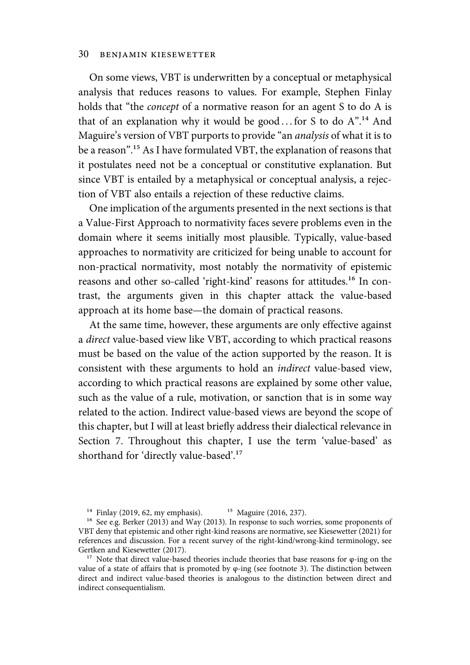On some views, VBT is underwritten by a conceptual or metaphysical analysis that reduces reasons to values. For example, Stephen Finlay holds that "the concept of a normative reason for an agent S to do A is that of an explanation why it would be good... for S to do  $A^{n,14}$  And Maguire's version of VBT purports to provide "an analysis of what it is to be a reason".<sup>15</sup> As I have formulated VBT, the explanation of reasons that it postulates need not be a conceptual or constitutive explanation. But since VBT is entailed by a metaphysical or conceptual analysis, a rejection of VBT also entails a rejection of these reductive claims.

One implication of the arguments presented in the next sections is that a Value-First Approach to normativity faces severe problems even in the domain where it seems initially most plausible. Typically, value-based approaches to normativity are criticized for being unable to account for non-practical normativity, most notably the normativity of epistemic reasons and other so-called 'right-kind' reasons for attitudes.<sup>16</sup> In contrast, the arguments given in this chapter attack the value-based approach at its home base—the domain of practical reasons.

At the same time, however, these arguments are only effective against a direct value-based view like VBT, according to which practical reasons must be based on the value of the action supported by the reason. It is consistent with these arguments to hold an indirect value-based view, according to which practical reasons are explained by some other value, such as the value of a rule, motivation, or sanction that is in some way related to the action. Indirect value-based views are beyond the scope of this chapter, but I will at least briefly address their dialectical relevance in Section 7. Throughout this chapter, I use the term 'value-based' as shorthand for 'directly value-based'.<sup>17</sup>

<sup>&</sup>lt;sup>14</sup> Finlay (2019, 62, my emphasis). <sup>15</sup> Maguire (2016, 237).

 $^{16}$  See e.g. Berker (2013) and Way (2013). In response to such worries, some proponents of VBT deny that epistemic and other right-kind reasons are normative, see Kiesewetter (2021) for references and discussion. For a recent survey of the right-kind/wrong-kind terminology, see Gertken and Kiesewetter (2017).

<sup>&</sup>lt;sup>17</sup> Note that direct value-based theories include theories that base reasons for  $\varphi$ -ing on the value of a state of affairs that is promoted by φ-ing (see footnote 3). The distinction between direct and indirect value-based theories is analogous to the distinction between direct and indirect consequentialism.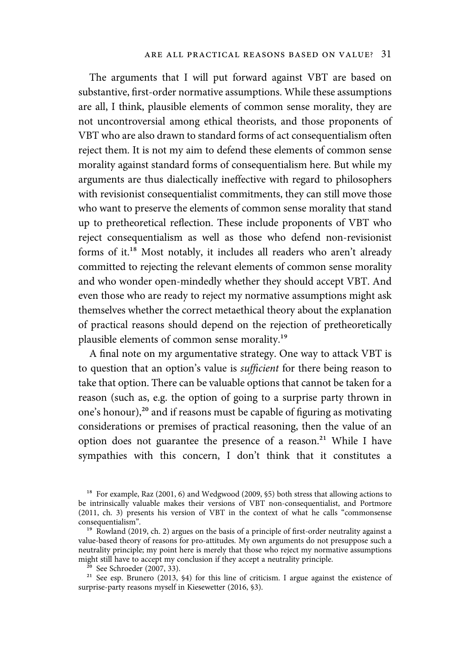The arguments that I will put forward against VBT are based on substantive, first-order normative assumptions. While these assumptions are all, I think, plausible elements of common sense morality, they are not uncontroversial among ethical theorists, and those proponents of VBT who are also drawn to standard forms of act consequentialism often reject them. It is not my aim to defend these elements of common sense morality against standard forms of consequentialism here. But while my arguments are thus dialectically ineffective with regard to philosophers with revisionist consequentialist commitments, they can still move those who want to preserve the elements of common sense morality that stand up to pretheoretical reflection. These include proponents of VBT who reject consequentialism as well as those who defend non-revisionist forms of it.<sup>18</sup> Most notably, it includes all readers who aren't already committed to rejecting the relevant elements of common sense morality and who wonder open-mindedly whether they should accept VBT. And even those who are ready to reject my normative assumptions might ask themselves whether the correct metaethical theory about the explanation of practical reasons should depend on the rejection of pretheoretically plausible elements of common sense morality.<sup>19</sup>

A final note on my argumentative strategy. One way to attack VBT is to question that an option's value is sufficient for there being reason to take that option. There can be valuable options that cannot be taken for a reason (such as, e.g. the option of going to a surprise party thrown in one's honour),<sup>20</sup> and if reasons must be capable of figuring as motivating considerations or premises of practical reasoning, then the value of an option does not guarantee the presence of a reason.<sup>21</sup> While I have sympathies with this concern, I don't think that it constitutes a

 $18$  For example, Raz (2001, 6) and Wedgwood (2009, §5) both stress that allowing actions to be intrinsically valuable makes their versions of VBT non-consequentialist, and Portmore (2011, ch. 3) presents his version of VBT in the context of what he calls "commonsense consequentialism".

<sup>&</sup>lt;sup>19</sup> Rowland (2019, ch. 2) argues on the basis of a principle of first-order neutrality against a value-based theory of reasons for pro-attitudes. My own arguments do not presuppose such a neutrality principle; my point here is merely that those who reject my normative assumptions might still have to accept my conclusion if they accept a neutrality principle.

 $\frac{20}{20}$  See Schroeder (2007, 33).

<sup>&</sup>lt;sup>21</sup> See esp. Brunero (2013, §4) for this line of criticism. I argue against the existence of surprise-party reasons myself in Kiesewetter (2016, §3).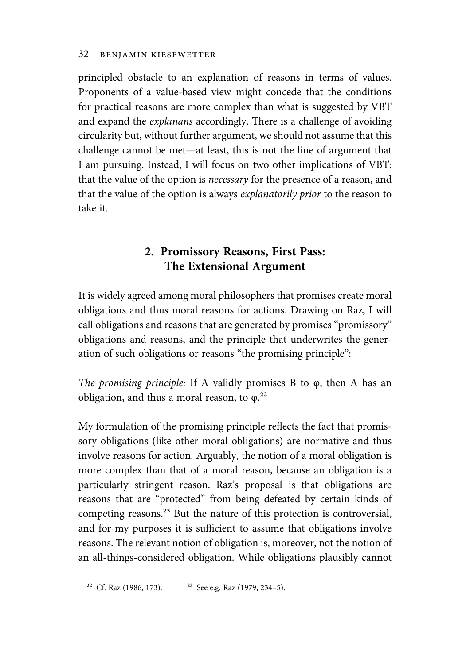principled obstacle to an explanation of reasons in terms of values. Proponents of a value-based view might concede that the conditions for practical reasons are more complex than what is suggested by VBT and expand the explanans accordingly. There is a challenge of avoiding circularity but, without further argument, we should not assume that this challenge cannot be met—at least, this is not the line of argument that I am pursuing. Instead, I will focus on two other implications of VBT: that the value of the option is *necessary* for the presence of a reason, and that the value of the option is always explanatorily prior to the reason to take it.

# 2. Promissory Reasons, First Pass: The Extensional Argument

It is widely agreed among moral philosophers that promises create moral obligations and thus moral reasons for actions. Drawing on Raz, I will call obligations and reasons that are generated by promises "promissory" obligations and reasons, and the principle that underwrites the generation of such obligations or reasons "the promising principle":

The promising principle: If A validly promises B to φ, then A has an obligation, and thus a moral reason, to  $\varphi$ <sup>22</sup>

My formulation of the promising principle reflects the fact that promissory obligations (like other moral obligations) are normative and thus involve reasons for action. Arguably, the notion of a moral obligation is more complex than that of a moral reason, because an obligation is a particularly stringent reason. Raz's proposal is that obligations are reasons that are "protected" from being defeated by certain kinds of competing reasons.<sup>23</sup> But the nature of this protection is controversial, and for my purposes it is sufficient to assume that obligations involve reasons. The relevant notion of obligation is, moreover, not the notion of an all-things-considered obligation. While obligations plausibly cannot

<sup>22</sup> Cf. Raz (1986, 173). <sup>23</sup> See e.g. Raz (1979, 234–5).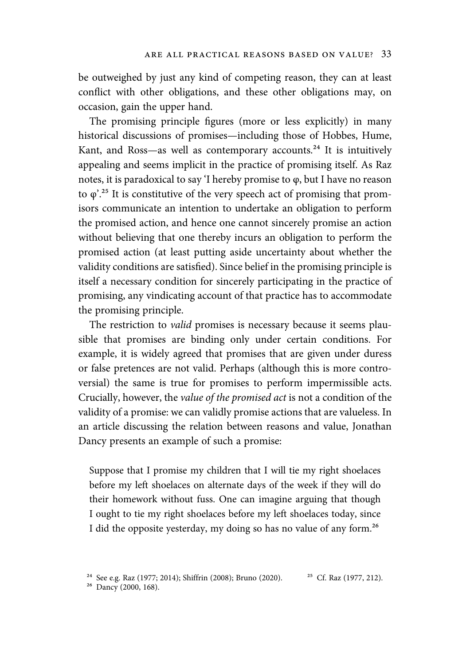be outweighed by just any kind of competing reason, they can at least conflict with other obligations, and these other obligations may, on occasion, gain the upper hand.

The promising principle figures (more or less explicitly) in many historical discussions of promises—including those of Hobbes, Hume, Kant, and Ross—as well as contemporary accounts.<sup>24</sup> It is intuitively appealing and seems implicit in the practice of promising itself. As Raz notes, it is paradoxical to say 'I hereby promise to φ, but I have no reason to  $\varphi$ <sup>25</sup>.<sup>25</sup> It is constitutive of the very speech act of promising that promisors communicate an intention to undertake an obligation to perform the promised action, and hence one cannot sincerely promise an action without believing that one thereby incurs an obligation to perform the promised action (at least putting aside uncertainty about whether the validity conditions are satisfied). Since belief in the promising principle is itself a necessary condition for sincerely participating in the practice of promising, any vindicating account of that practice has to accommodate the promising principle.

The restriction to *valid* promises is necessary because it seems plausible that promises are binding only under certain conditions. For example, it is widely agreed that promises that are given under duress or false pretences are not valid. Perhaps (although this is more controversial) the same is true for promises to perform impermissible acts. Crucially, however, the value of the promised act is not a condition of the validity of a promise: we can validly promise actions that are valueless. In an article discussing the relation between reasons and value, Jonathan Dancy presents an example of such a promise:

Suppose that I promise my children that I will tie my right shoelaces before my left shoelaces on alternate days of the week if they will do their homework without fuss. One can imagine arguing that though I ought to tie my right shoelaces before my left shoelaces today, since I did the opposite yesterday, my doing so has no value of any form.<sup>26</sup>

<sup>&</sup>lt;sup>24</sup> See e.g. Raz (1977; 2014); Shiffrin (2008); Bruno (2020). <sup>25</sup> Cf. Raz (1977, 212).

<sup>&</sup>lt;sup>26</sup> Dancy (2000, 168).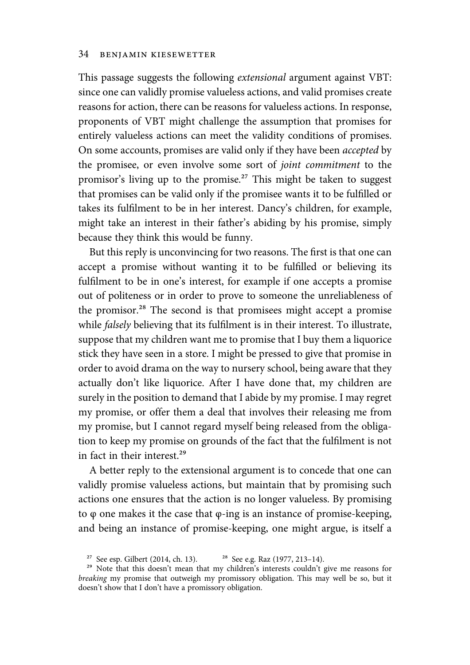This passage suggests the following extensional argument against VBT: since one can validly promise valueless actions, and valid promises create reasons for action, there can be reasons for valueless actions. In response, proponents of VBT might challenge the assumption that promises for entirely valueless actions can meet the validity conditions of promises. On some accounts, promises are valid only if they have been accepted by the promisee, or even involve some sort of joint commitment to the promisor's living up to the promise.<sup>27</sup> This might be taken to suggest that promises can be valid only if the promisee wants it to be fulfilled or takes its fulfilment to be in her interest. Dancy's children, for example, might take an interest in their father's abiding by his promise, simply because they think this would be funny.

But this reply is unconvincing for two reasons. The first is that one can accept a promise without wanting it to be fulfilled or believing its fulfilment to be in one's interest, for example if one accepts a promise out of politeness or in order to prove to someone the unreliableness of the promisor.<sup>28</sup> The second is that promisees might accept a promise while falsely believing that its fulfilment is in their interest. To illustrate, suppose that my children want me to promise that I buy them a liquorice stick they have seen in a store. I might be pressed to give that promise in order to avoid drama on the way to nursery school, being aware that they actually don't like liquorice. After I have done that, my children are surely in the position to demand that I abide by my promise. I may regret my promise, or offer them a deal that involves their releasing me from my promise, but I cannot regard myself being released from the obligation to keep my promise on grounds of the fact that the fulfilment is not in fact in their interest.<sup>29</sup>

A better reply to the extensional argument is to concede that one can validly promise valueless actions, but maintain that by promising such actions one ensures that the action is no longer valueless. By promising to φ one makes it the case that φ-ing is an instance of promise-keeping, and being an instance of promise-keeping, one might argue, is itself a

<sup>&</sup>lt;sup>27</sup> See esp. Gilbert (2014, ch. 13). <sup>28</sup> See e.g. Raz (1977, 213–14).

<sup>&</sup>lt;sup>29</sup> Note that this doesn't mean that my children's interests couldn't give me reasons for breaking my promise that outweigh my promissory obligation. This may well be so, but it doesn't show that I don't have a promissory obligation.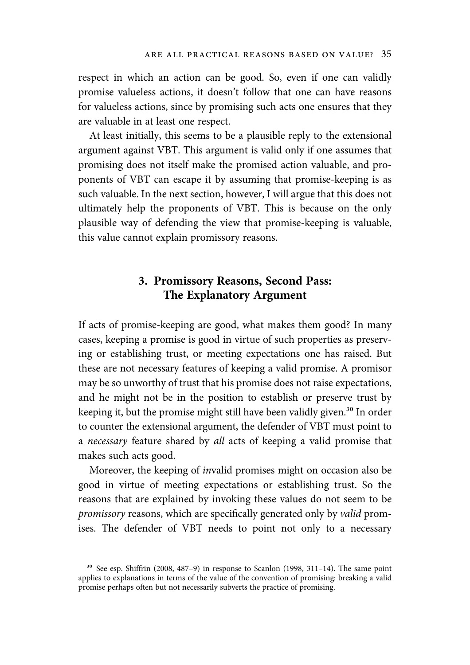respect in which an action can be good. So, even if one can validly promise valueless actions, it doesn't follow that one can have reasons for valueless actions, since by promising such acts one ensures that they are valuable in at least one respect.

At least initially, this seems to be a plausible reply to the extensional argument against VBT. This argument is valid only if one assumes that promising does not itself make the promised action valuable, and proponents of VBT can escape it by assuming that promise-keeping is as such valuable. In the next section, however, I will argue that this does not ultimately help the proponents of VBT. This is because on the only plausible way of defending the view that promise-keeping is valuable, this value cannot explain promissory reasons.

# 3. Promissory Reasons, Second Pass: The Explanatory Argument

If acts of promise-keeping are good, what makes them good? In many cases, keeping a promise is good in virtue of such properties as preserving or establishing trust, or meeting expectations one has raised. But these are not necessary features of keeping a valid promise. A promisor may be so unworthy of trust that his promise does not raise expectations, and he might not be in the position to establish or preserve trust by keeping it, but the promise might still have been validly given.<sup>30</sup> In order to counter the extensional argument, the defender of VBT must point to a *necessary* feature shared by all acts of keeping a valid promise that makes such acts good.

Moreover, the keeping of invalid promises might on occasion also be good in virtue of meeting expectations or establishing trust. So the reasons that are explained by invoking these values do not seem to be promissory reasons, which are specifically generated only by valid promises. The defender of VBT needs to point not only to a necessary

 $30$  See esp. Shiffrin (2008, 487–9) in response to Scanlon (1998, 311–14). The same point applies to explanations in terms of the value of the convention of promising: breaking a valid promise perhaps often but not necessarily subverts the practice of promising.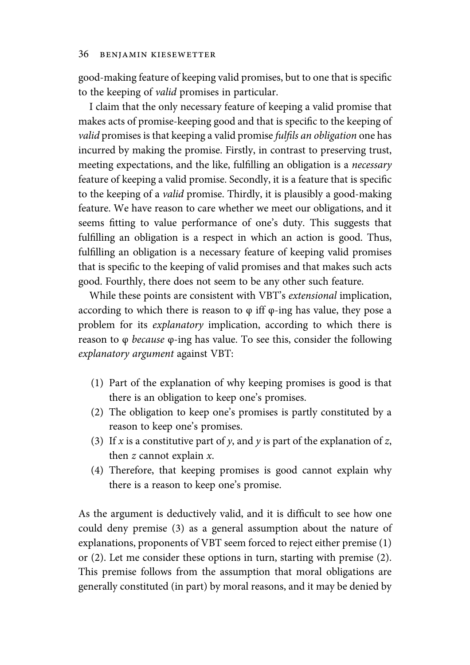good-making feature of keeping valid promises, but to one that is specific to the keeping of valid promises in particular.

I claim that the only necessary feature of keeping a valid promise that makes acts of promise-keeping good and that is specific to the keeping of valid promises is that keeping a valid promise fulfils an obligation one has incurred by making the promise. Firstly, in contrast to preserving trust, meeting expectations, and the like, fulfilling an obligation is a necessary feature of keeping a valid promise. Secondly, it is a feature that is specific to the keeping of a valid promise. Thirdly, it is plausibly a good-making feature. We have reason to care whether we meet our obligations, and it seems fitting to value performance of one's duty. This suggests that fulfilling an obligation is a respect in which an action is good. Thus, fulfilling an obligation is a necessary feature of keeping valid promises that is specific to the keeping of valid promises and that makes such acts good. Fourthly, there does not seem to be any other such feature.

While these points are consistent with VBT's extensional implication, according to which there is reason to  $\varphi$  iff  $\varphi$ -ing has value, they pose a problem for its explanatory implication, according to which there is reason to φ *because*  $φ$ -ing has value. To see this, consider the following explanatory argument against VBT:

- (1) Part of the explanation of why keeping promises is good is that there is an obligation to keep one's promises.
- (2) The obligation to keep one's promises is partly constituted by a reason to keep one's promises.
- (3) If x is a constitutive part of y, and y is part of the explanation of z, then  $z$  cannot explain  $x$ .
- (4) Therefore, that keeping promises is good cannot explain why there is a reason to keep one's promise.

As the argument is deductively valid, and it is difficult to see how one could deny premise (3) as a general assumption about the nature of explanations, proponents of VBT seem forced to reject either premise (1) or (2). Let me consider these options in turn, starting with premise (2). This premise follows from the assumption that moral obligations are generally constituted (in part) by moral reasons, and it may be denied by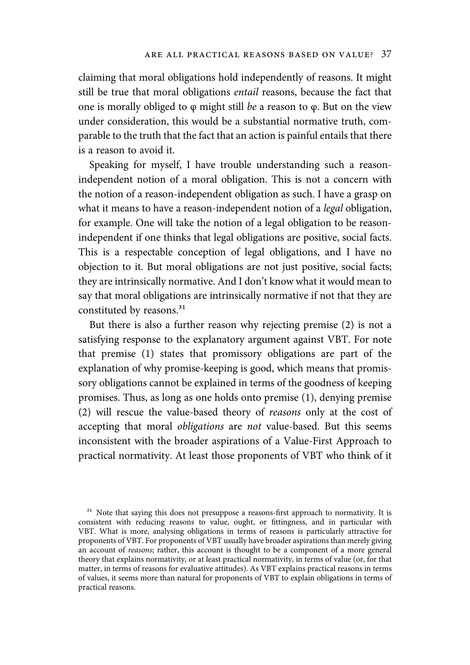claiming that moral obligations hold independently of reasons. It might still be true that moral obligations entail reasons, because the fact that one is morally obliged to φ might still be a reason to φ. But on the view under consideration, this would be a substantial normative truth, comparable to the truth that the fact that an action is painful entails that there is a reason to avoid it.

Speaking for myself, I have trouble understanding such a reasonindependent notion of a moral obligation. This is not a concern with the notion of a reason-independent obligation as such. I have a grasp on what it means to have a reason-independent notion of a *legal* obligation, for example. One will take the notion of a legal obligation to be reasonindependent if one thinks that legal obligations are positive, social facts. This is a respectable conception of legal obligations, and I have no objection to it. But moral obligations are not just positive, social facts; they are intrinsically normative. And I don't know what it would mean to say that moral obligations are intrinsically normative if not that they are constituted by reasons.<sup>31</sup>

But there is also a further reason why rejecting premise (2) is not a satisfying response to the explanatory argument against VBT. For note that premise (1) states that promissory obligations are part of the explanation of why promise-keeping is good, which means that promissory obligations cannot be explained in terms of the goodness of keeping promises. Thus, as long as one holds onto premise (1), denying premise (2) will rescue the value-based theory of reasons only at the cost of accepting that moral obligations are not value-based. But this seems inconsistent with the broader aspirations of a Value-First Approach to practical normativity. At least those proponents of VBT who think of it

<sup>&</sup>lt;sup>31</sup> Note that saying this does not presuppose a reasons-first approach to normativity. It is consistent with reducing reasons to value, ought, or fittingness, and in particular with VBT. What is more, analysing obligations in terms of reasons is particularly attractive for proponents of VBT. For proponents of VBT usually have broader aspirations than merely giving an account of reasons; rather, this account is thought to be a component of a more general theory that explains normativity, or at least practical normativity, in terms of value (or, for that matter, in terms of reasons for evaluative attitudes). As VBT explains practical reasons in terms of values, it seems more than natural for proponents of VBT to explain obligations in terms of practical reasons.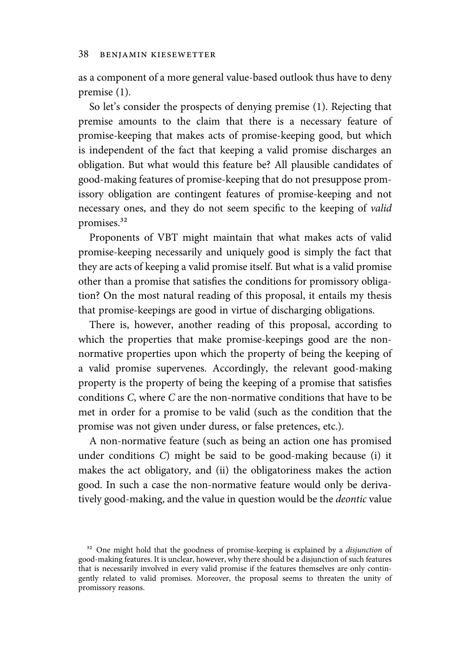as a component of a more general value-based outlook thus have to deny premise (1).

So let's consider the prospects of denying premise (1). Rejecting that premise amounts to the claim that there is a necessary feature of promise-keeping that makes acts of promise-keeping good, but which is independent of the fact that keeping a valid promise discharges an obligation. But what would this feature be? All plausible candidates of good-making features of promise-keeping that do not presuppose promissory obligation are contingent features of promise-keeping and not necessary ones, and they do not seem specific to the keeping of valid promises.<sup>32</sup>

Proponents of VBT might maintain that what makes acts of valid promise-keeping necessarily and uniquely good is simply the fact that they are acts of keeping a valid promise itself. But what is a valid promise other than a promise that satisfies the conditions for promissory obligation? On the most natural reading of this proposal, it entails my thesis that promise-keepings are good in virtue of discharging obligations.

There is, however, another reading of this proposal, according to which the properties that make promise-keepings good are the nonnormative properties upon which the property of being the keeping of a valid promise supervenes. Accordingly, the relevant good-making property is the property of being the keeping of a promise that satisfies conditions C, where C are the non-normative conditions that have to be met in order for a promise to be valid (such as the condition that the promise was not given under duress, or false pretences, etc.).

A non-normative feature (such as being an action one has promised under conditions C) might be said to be good-making because (i) it makes the act obligatory, and (ii) the obligatoriness makes the action good. In such a case the non-normative feature would only be derivatively good-making, and the value in question would be the deontic value

<sup>&</sup>lt;sup>32</sup> One might hold that the goodness of promise-keeping is explained by a *disjunction* of good-making features. It is unclear, however, why there should be a disjunction of such features that is necessarily involved in every valid promise if the features themselves are only contingently related to valid promises. Moreover, the proposal seems to threaten the unity of promissory reasons.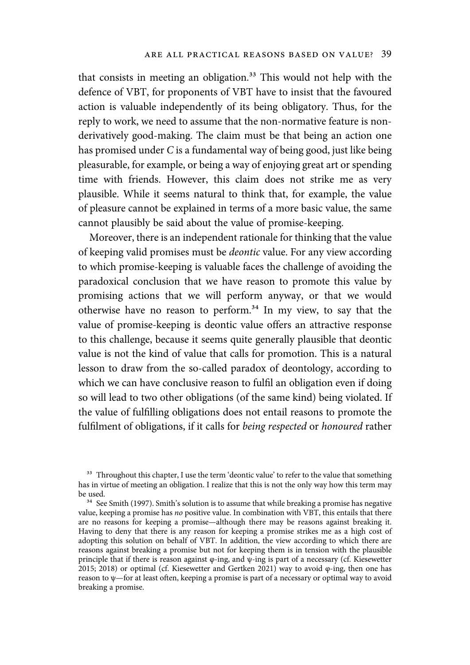that consists in meeting an obligation.<sup>33</sup> This would not help with the defence of VBT, for proponents of VBT have to insist that the favoured action is valuable independently of its being obligatory. Thus, for the reply to work, we need to assume that the non-normative feature is nonderivatively good-making. The claim must be that being an action one has promised under C is a fundamental way of being good, just like being pleasurable, for example, or being a way of enjoying great art or spending time with friends. However, this claim does not strike me as very plausible. While it seems natural to think that, for example, the value of pleasure cannot be explained in terms of a more basic value, the same cannot plausibly be said about the value of promise-keeping.

Moreover, there is an independent rationale for thinking that the value of keeping valid promises must be deontic value. For any view according to which promise-keeping is valuable faces the challenge of avoiding the paradoxical conclusion that we have reason to promote this value by promising actions that we will perform anyway, or that we would otherwise have no reason to perform. $34$  In my view, to say that the value of promise-keeping is deontic value offers an attractive response to this challenge, because it seems quite generally plausible that deontic value is not the kind of value that calls for promotion. This is a natural lesson to draw from the so-called paradox of deontology, according to which we can have conclusive reason to fulfil an obligation even if doing so will lead to two other obligations (of the same kind) being violated. If the value of fulfilling obligations does not entail reasons to promote the fulfilment of obligations, if it calls for being respected or honoured rather

<sup>&</sup>lt;sup>33</sup> Throughout this chapter, I use the term 'deontic value' to refer to the value that something has in virtue of meeting an obligation. I realize that this is not the only way how this term may be used.

<sup>&</sup>lt;sup>34</sup> See Smith (1997). Smith's solution is to assume that while breaking a promise has negative value, keeping a promise has no positive value. In combination with VBT, this entails that there are no reasons for keeping a promise—although there may be reasons against breaking it. Having to deny that there is any reason for keeping a promise strikes me as a high cost of adopting this solution on behalf of VBT. In addition, the view according to which there are reasons against breaking a promise but not for keeping them is in tension with the plausible principle that if there is reason against φ-ing, and ψ-ing is part of a necessary (cf. Kiesewetter 2015; 2018) or optimal (cf. Kiesewetter and Gertken 2021) way to avoid φ-ing, then one has reason to  $\psi$ —for at least often, keeping a promise is part of a necessary or optimal way to avoid breaking a promise.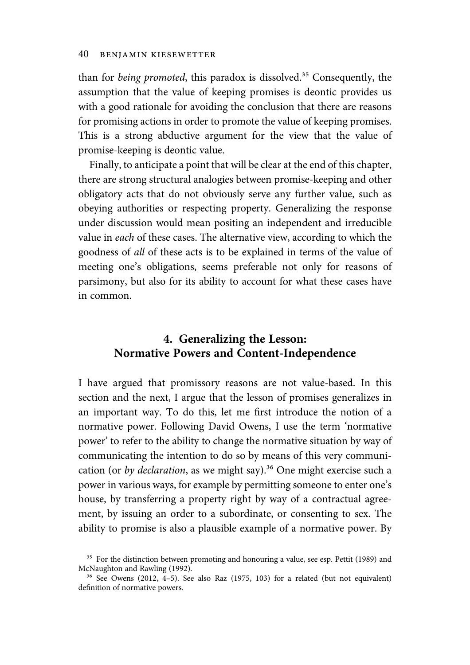than for *being promoted*, this paradox is dissolved.<sup>35</sup> Consequently, the assumption that the value of keeping promises is deontic provides us with a good rationale for avoiding the conclusion that there are reasons for promising actions in order to promote the value of keeping promises. This is a strong abductive argument for the view that the value of promise-keeping is deontic value.

Finally, to anticipate a point that will be clear at the end of this chapter, there are strong structural analogies between promise-keeping and other obligatory acts that do not obviously serve any further value, such as obeying authorities or respecting property. Generalizing the response under discussion would mean positing an independent and irreducible value in each of these cases. The alternative view, according to which the goodness of all of these acts is to be explained in terms of the value of meeting one's obligations, seems preferable not only for reasons of parsimony, but also for its ability to account for what these cases have in common.

# 4. Generalizing the Lesson: Normative Powers and Content-Independence

I have argued that promissory reasons are not value-based. In this section and the next, I argue that the lesson of promises generalizes in an important way. To do this, let me first introduce the notion of a normative power. Following David Owens, I use the term 'normative power' to refer to the ability to change the normative situation by way of communicating the intention to do so by means of this very communication (or by declaration, as we might say).<sup>36</sup> One might exercise such a power in various ways, for example by permitting someone to enter one's house, by transferring a property right by way of a contractual agreement, by issuing an order to a subordinate, or consenting to sex. The ability to promise is also a plausible example of a normative power. By

<sup>&</sup>lt;sup>35</sup> For the distinction between promoting and honouring a value, see esp. Pettit (1989) and McNaughton and Rawling (1992).

 $36$  See Owens (2012, 4–5). See also Raz (1975, 103) for a related (but not equivalent) definition of normative powers.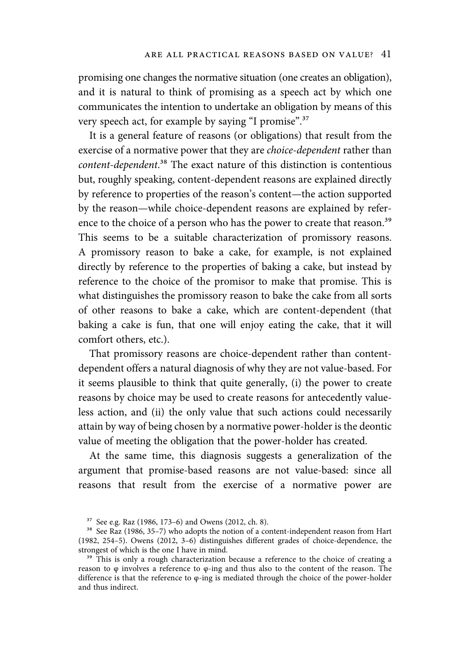promising one changes the normative situation (one creates an obligation), and it is natural to think of promising as a speech act by which one communicates the intention to undertake an obligation by means of this very speech act, for example by saying "I promise".<sup>37</sup>

It is a general feature of reasons (or obligations) that result from the exercise of a normative power that they are choice-dependent rather than content-dependent.<sup>38</sup> The exact nature of this distinction is contentious but, roughly speaking, content-dependent reasons are explained directly by reference to properties of the reason's content—the action supported by the reason—while choice-dependent reasons are explained by reference to the choice of a person who has the power to create that reason.<sup>39</sup> This seems to be a suitable characterization of promissory reasons. A promissory reason to bake a cake, for example, is not explained directly by reference to the properties of baking a cake, but instead by reference to the choice of the promisor to make that promise. This is what distinguishes the promissory reason to bake the cake from all sorts of other reasons to bake a cake, which are content-dependent (that baking a cake is fun, that one will enjoy eating the cake, that it will comfort others, etc.).

That promissory reasons are choice-dependent rather than contentdependent offers a natural diagnosis of why they are not value-based. For it seems plausible to think that quite generally, (i) the power to create reasons by choice may be used to create reasons for antecedently valueless action, and (ii) the only value that such actions could necessarily attain by way of being chosen by a normative power-holder is the deontic value of meeting the obligation that the power-holder has created.

At the same time, this diagnosis suggests a generalization of the argument that promise-based reasons are not value-based: since all reasons that result from the exercise of a normative power are

³⁷ See e.g. Raz (1986, 173–6) and Owens (2012, ch. 8).

<sup>&</sup>lt;sup>38</sup> See Raz (1986, 35–7) who adopts the notion of a content-independent reason from Hart (1982, 254–5). Owens (2012, 3–6) distinguishes different grades of choice-dependence, the strongest of which is the one I have in mind.

<sup>&</sup>lt;sup>39</sup> This is only a rough characterization because a reference to the choice of creating a reason to φ involves a reference to φ-ing and thus also to the content of the reason. The difference is that the reference to  $\varphi$ -ing is mediated through the choice of the power-holder and thus indirect.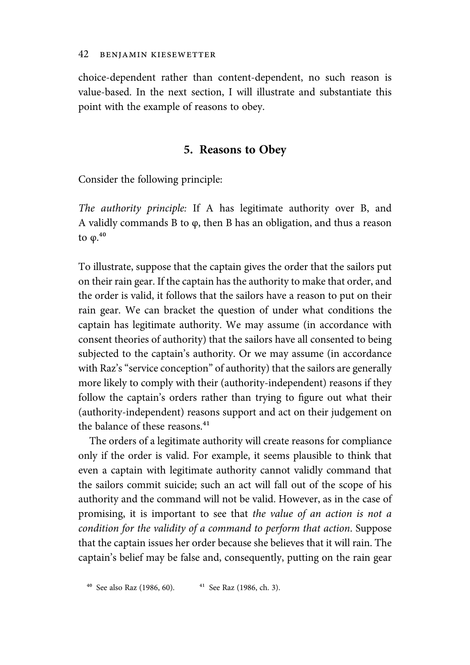choice-dependent rather than content-dependent, no such reason is value-based. In the next section, I will illustrate and substantiate this point with the example of reasons to obey.

## 5. Reasons to Obey

Consider the following principle:

The authority principle: If A has legitimate authority over B, and A validly commands B to φ, then B has an obligation, and thus a reason to  $\varphi$ <sup>40</sup>

To illustrate, suppose that the captain gives the order that the sailors put on their rain gear. If the captain has the authority to make that order, and the order is valid, it follows that the sailors have a reason to put on their rain gear. We can bracket the question of under what conditions the captain has legitimate authority. We may assume (in accordance with consent theories of authority) that the sailors have all consented to being subjected to the captain's authority. Or we may assume (in accordance with Raz's "service conception" of authority) that the sailors are generally more likely to comply with their (authority-independent) reasons if they follow the captain's orders rather than trying to figure out what their (authority-independent) reasons support and act on their judgement on the balance of these reasons.<sup>41</sup>

The orders of a legitimate authority will create reasons for compliance only if the order is valid. For example, it seems plausible to think that even a captain with legitimate authority cannot validly command that the sailors commit suicide; such an act will fall out of the scope of his authority and the command will not be valid. However, as in the case of promising, it is important to see that the value of an action is not a condition for the validity of a command to perform that action. Suppose that the captain issues her order because she believes that it will rain. The captain's belief may be false and, consequently, putting on the rain gear

 $^{40}$  See also Raz (1986, 60).  $^{41}$  See Raz (1986, ch. 3).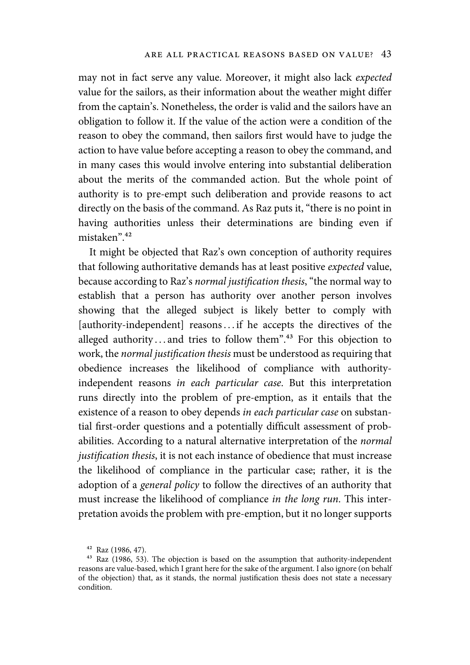may not in fact serve any value. Moreover, it might also lack expected value for the sailors, as their information about the weather might differ from the captain's. Nonetheless, the order is valid and the sailors have an obligation to follow it. If the value of the action were a condition of the reason to obey the command, then sailors first would have to judge the action to have value before accepting a reason to obey the command, and in many cases this would involve entering into substantial deliberation about the merits of the commanded action. But the whole point of authority is to pre-empt such deliberation and provide reasons to act directly on the basis of the command. As Raz puts it, "there is no point in having authorities unless their determinations are binding even if mistaken".<sup>42</sup>

It might be objected that Raz's own conception of authority requires that following authoritative demands has at least positive expected value, because according to Raz's normal justification thesis, "the normal way to establish that a person has authority over another person involves showing that the alleged subject is likely better to comply with [authority-independent] reasons...if he accepts the directives of the alleged authority ... and tries to follow them".<sup>43</sup> For this objection to work, the normal justification thesis must be understood as requiring that obedience increases the likelihood of compliance with authorityindependent reasons in each particular case. But this interpretation runs directly into the problem of pre-emption, as it entails that the existence of a reason to obey depends in each particular case on substantial first-order questions and a potentially difficult assessment of probabilities. According to a natural alternative interpretation of the normal justification thesis, it is not each instance of obedience that must increase the likelihood of compliance in the particular case; rather, it is the adoption of a general policy to follow the directives of an authority that must increase the likelihood of compliance in the long run. This interpretation avoids the problem with pre-emption, but it no longer supports

 $42$  Raz (1986, 47).

<sup>&</sup>lt;sup>43</sup> Raz (1986, 53). The objection is based on the assumption that authority-independent reasons are value-based, which I grant here for the sake of the argument. I also ignore (on behalf of the objection) that, as it stands, the normal justification thesis does not state a necessary condition.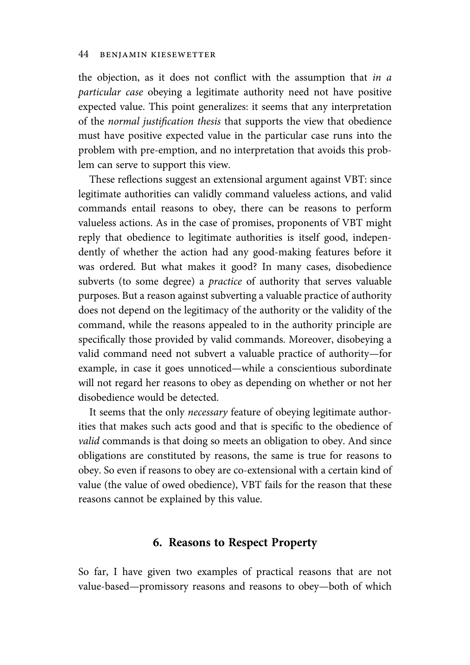the objection, as it does not conflict with the assumption that *in a* particular case obeying a legitimate authority need not have positive expected value. This point generalizes: it seems that any interpretation of the normal justification thesis that supports the view that obedience must have positive expected value in the particular case runs into the problem with pre-emption, and no interpretation that avoids this problem can serve to support this view.

These reflections suggest an extensional argument against VBT: since legitimate authorities can validly command valueless actions, and valid commands entail reasons to obey, there can be reasons to perform valueless actions. As in the case of promises, proponents of VBT might reply that obedience to legitimate authorities is itself good, independently of whether the action had any good-making features before it was ordered. But what makes it good? In many cases, disobedience subverts (to some degree) a practice of authority that serves valuable purposes. But a reason against subverting a valuable practice of authority does not depend on the legitimacy of the authority or the validity of the command, while the reasons appealed to in the authority principle are specifically those provided by valid commands. Moreover, disobeying a valid command need not subvert a valuable practice of authority—for example, in case it goes unnoticed—while a conscientious subordinate will not regard her reasons to obey as depending on whether or not her disobedience would be detected.

It seems that the only *necessary* feature of obeying legitimate authorities that makes such acts good and that is specific to the obedience of valid commands is that doing so meets an obligation to obey. And since obligations are constituted by reasons, the same is true for reasons to obey. So even if reasons to obey are co-extensional with a certain kind of value (the value of owed obedience), VBT fails for the reason that these reasons cannot be explained by this value.

## 6. Reasons to Respect Property

So far, I have given two examples of practical reasons that are not value-based—promissory reasons and reasons to obey—both of which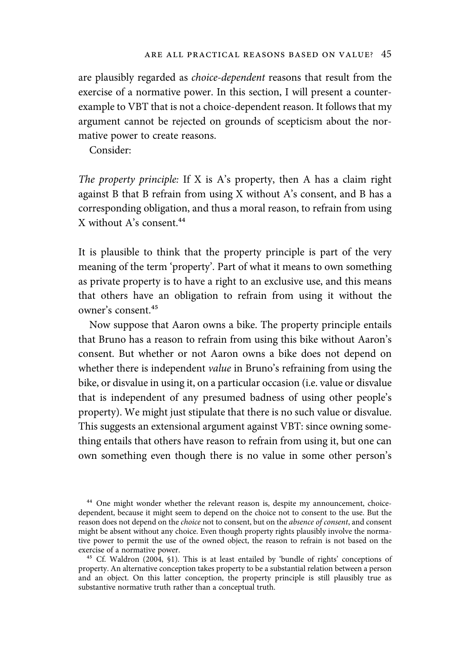are plausibly regarded as choice-dependent reasons that result from the exercise of a normative power. In this section, I will present a counterexample to VBT that is not a choice-dependent reason. It follows that my argument cannot be rejected on grounds of scepticism about the normative power to create reasons.

Consider:

The property principle: If X is A's property, then A has a claim right against B that B refrain from using X without A's consent, and B has a corresponding obligation, and thus a moral reason, to refrain from using X without A's consent. $44$ 

It is plausible to think that the property principle is part of the very meaning of the term 'property'. Part of what it means to own something as private property is to have a right to an exclusive use, and this means that others have an obligation to refrain from using it without the owner's consent.<sup>45</sup>

Now suppose that Aaron owns a bike. The property principle entails that Bruno has a reason to refrain from using this bike without Aaron's consent. But whether or not Aaron owns a bike does not depend on whether there is independent value in Bruno's refraining from using the bike, or disvalue in using it, on a particular occasion (i.e. value or disvalue that is independent of any presumed badness of using other people's property). We might just stipulate that there is no such value or disvalue. This suggests an extensional argument against VBT: since owning something entails that others have reason to refrain from using it, but one can own something even though there is no value in some other person's

<sup>44</sup> One might wonder whether the relevant reason is, despite my announcement, choicedependent, because it might seem to depend on the choice not to consent to the use. But the reason does not depend on the choice not to consent, but on the absence of consent, and consent might be absent without any choice. Even though property rights plausibly involve the normative power to permit the use of the owned object, the reason to refrain is not based on the exercise of a normative power.

<sup>45</sup> Cf. Waldron (2004, §1). This is at least entailed by 'bundle of rights' conceptions of property. An alternative conception takes property to be a substantial relation between a person and an object. On this latter conception, the property principle is still plausibly true as substantive normative truth rather than a conceptual truth.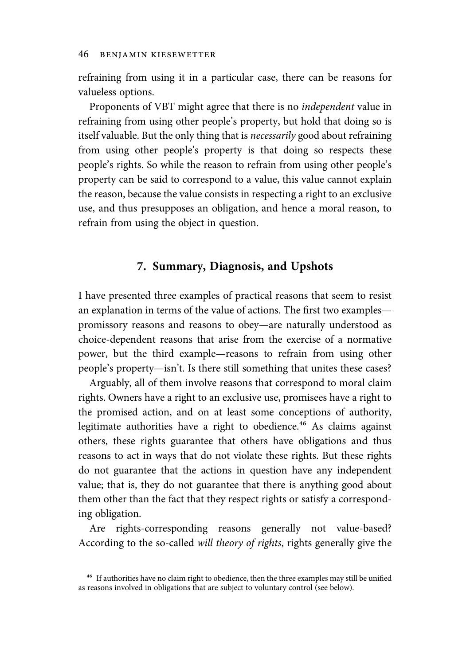refraining from using it in a particular case, there can be reasons for valueless options.

Proponents of VBT might agree that there is no independent value in refraining from using other people's property, but hold that doing so is itself valuable. But the only thing that is necessarily good about refraining from using other people's property is that doing so respects these people's rights. So while the reason to refrain from using other people's property can be said to correspond to a value, this value cannot explain the reason, because the value consists in respecting a right to an exclusive use, and thus presupposes an obligation, and hence a moral reason, to refrain from using the object in question.

# 7. Summary, Diagnosis, and Upshots

I have presented three examples of practical reasons that seem to resist an explanation in terms of the value of actions. The first two examples promissory reasons and reasons to obey—are naturally understood as choice-dependent reasons that arise from the exercise of a normative power, but the third example—reasons to refrain from using other people's property—isn't. Is there still something that unites these cases?

Arguably, all of them involve reasons that correspond to moral claim rights. Owners have a right to an exclusive use, promisees have a right to the promised action, and on at least some conceptions of authority, legitimate authorities have a right to obedience.<sup>46</sup> As claims against others, these rights guarantee that others have obligations and thus reasons to act in ways that do not violate these rights. But these rights do not guarantee that the actions in question have any independent value; that is, they do not guarantee that there is anything good about them other than the fact that they respect rights or satisfy a corresponding obligation.

Are rights-corresponding reasons generally not value-based? According to the so-called will theory of rights, rights generally give the

<sup>&</sup>lt;sup>46</sup> If authorities have no claim right to obedience, then the three examples may still be unified as reasons involved in obligations that are subject to voluntary control (see below).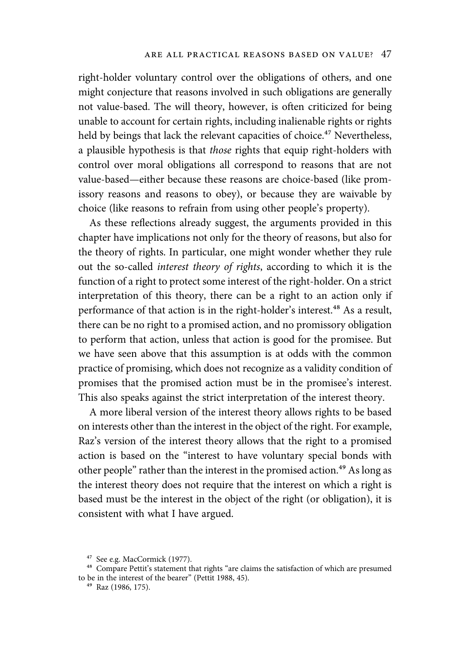right-holder voluntary control over the obligations of others, and one might conjecture that reasons involved in such obligations are generally not value-based. The will theory, however, is often criticized for being unable to account for certain rights, including inalienable rights or rights held by beings that lack the relevant capacities of choice.<sup>47</sup> Nevertheless, a plausible hypothesis is that those rights that equip right-holders with control over moral obligations all correspond to reasons that are not value-based—either because these reasons are choice-based (like promissory reasons and reasons to obey), or because they are waivable by choice (like reasons to refrain from using other people's property).

As these reflections already suggest, the arguments provided in this chapter have implications not only for the theory of reasons, but also for the theory of rights. In particular, one might wonder whether they rule out the so-called interest theory of rights, according to which it is the function of a right to protect some interest of the right-holder. On a strict interpretation of this theory, there can be a right to an action only if performance of that action is in the right-holder's interest.<sup>48</sup> As a result, there can be no right to a promised action, and no promissory obligation to perform that action, unless that action is good for the promisee. But we have seen above that this assumption is at odds with the common practice of promising, which does not recognize as a validity condition of promises that the promised action must be in the promisee's interest. This also speaks against the strict interpretation of the interest theory.

A more liberal version of the interest theory allows rights to be based on interests other than the interest in the object of the right. For example, Raz's version of the interest theory allows that the right to a promised action is based on the "interest to have voluntary special bonds with other people" rather than the interest in the promised action.<sup>49</sup> As long as the interest theory does not require that the interest on which a right is based must be the interest in the object of the right (or obligation), it is consistent with what I have argued.

<sup>&</sup>lt;sup>47</sup> See e.g. MacCormick (1977).

<sup>&</sup>lt;sup>48</sup> Compare Pettit's statement that rights "are claims the satisfaction of which are presumed to be in the interest of the bearer" (Pettit 1988, 45).

<sup>&</sup>lt;sup>49</sup> Raz (1986, 175).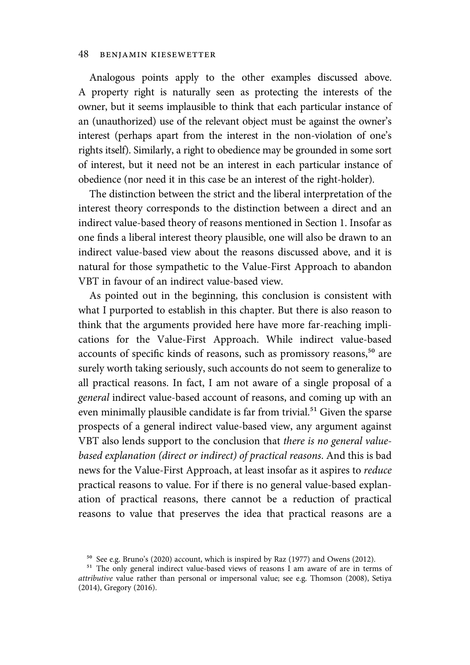Analogous points apply to the other examples discussed above. A property right is naturally seen as protecting the interests of the owner, but it seems implausible to think that each particular instance of an (unauthorized) use of the relevant object must be against the owner's interest (perhaps apart from the interest in the non-violation of one's rights itself). Similarly, a right to obedience may be grounded in some sort of interest, but it need not be an interest in each particular instance of obedience (nor need it in this case be an interest of the right-holder).

The distinction between the strict and the liberal interpretation of the interest theory corresponds to the distinction between a direct and an indirect value-based theory of reasons mentioned in Section 1. Insofar as one finds a liberal interest theory plausible, one will also be drawn to an indirect value-based view about the reasons discussed above, and it is natural for those sympathetic to the Value-First Approach to abandon VBT in favour of an indirect value-based view.

As pointed out in the beginning, this conclusion is consistent with what I purported to establish in this chapter. But there is also reason to think that the arguments provided here have more far-reaching implications for the Value-First Approach. While indirect value-based accounts of specific kinds of reasons, such as promissory reasons,<sup>50</sup> are surely worth taking seriously, such accounts do not seem to generalize to all practical reasons. In fact, I am not aware of a single proposal of a general indirect value-based account of reasons, and coming up with an even minimally plausible candidate is far from trivial.<sup>51</sup> Given the sparse prospects of a general indirect value-based view, any argument against VBT also lends support to the conclusion that there is no general valuebased explanation (direct or indirect) of practical reasons. And this is bad news for the Value-First Approach, at least insofar as it aspires to reduce practical reasons to value. For if there is no general value-based explanation of practical reasons, there cannot be a reduction of practical reasons to value that preserves the idea that practical reasons are a

⁵⁰ See e.g. Bruno's (2020) account, which is inspired by Raz (1977) and Owens (2012).

<sup>&</sup>lt;sup>51</sup> The only general indirect value-based views of reasons I am aware of are in terms of attributive value rather than personal or impersonal value; see e.g. Thomson (2008), Setiya (2014), Gregory (2016).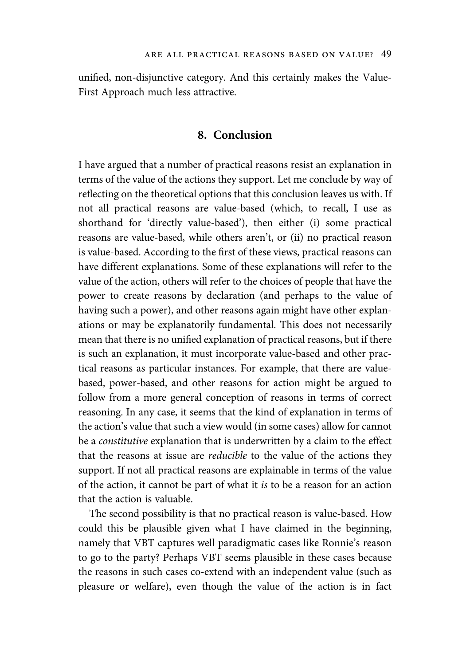unified, non-disjunctive category. And this certainly makes the Value-First Approach much less attractive.

## 8. Conclusion

I have argued that a number of practical reasons resist an explanation in terms of the value of the actions they support. Let me conclude by way of reflecting on the theoretical options that this conclusion leaves us with. If not all practical reasons are value-based (which, to recall, I use as shorthand for 'directly value-based'), then either (i) some practical reasons are value-based, while others aren't, or (ii) no practical reason is value-based. According to the first of these views, practical reasons can have different explanations. Some of these explanations will refer to the value of the action, others will refer to the choices of people that have the power to create reasons by declaration (and perhaps to the value of having such a power), and other reasons again might have other explanations or may be explanatorily fundamental. This does not necessarily mean that there is no unified explanation of practical reasons, but if there is such an explanation, it must incorporate value-based and other practical reasons as particular instances. For example, that there are valuebased, power-based, and other reasons for action might be argued to follow from a more general conception of reasons in terms of correct reasoning. In any case, it seems that the kind of explanation in terms of the action's value that such a view would (in some cases) allow for cannot be a constitutive explanation that is underwritten by a claim to the effect that the reasons at issue are reducible to the value of the actions they support. If not all practical reasons are explainable in terms of the value of the action, it cannot be part of what it is to be a reason for an action that the action is valuable.

The second possibility is that no practical reason is value-based. How could this be plausible given what I have claimed in the beginning, namely that VBT captures well paradigmatic cases like Ronnie's reason to go to the party? Perhaps VBT seems plausible in these cases because the reasons in such cases co-extend with an independent value (such as pleasure or welfare), even though the value of the action is in fact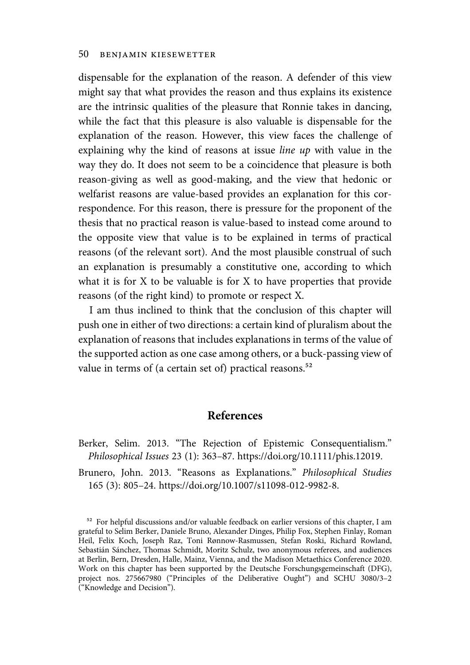dispensable for the explanation of the reason. A defender of this view might say that what provides the reason and thus explains its existence are the intrinsic qualities of the pleasure that Ronnie takes in dancing, while the fact that this pleasure is also valuable is dispensable for the explanation of the reason. However, this view faces the challenge of explaining why the kind of reasons at issue line up with value in the way they do. It does not seem to be a coincidence that pleasure is both reason-giving as well as good-making, and the view that hedonic or welfarist reasons are value-based provides an explanation for this correspondence. For this reason, there is pressure for the proponent of the thesis that no practical reason is value-based to instead come around to the opposite view that value is to be explained in terms of practical reasons (of the relevant sort). And the most plausible construal of such an explanation is presumably a constitutive one, according to which what it is for X to be valuable is for X to have properties that provide reasons (of the right kind) to promote or respect X.

I am thus inclined to think that the conclusion of this chapter will push one in either of two directions: a certain kind of pluralism about the explanation of reasons that includes explanations in terms of the value of the supported action as one case among others, or a buck-passing view of value in terms of (a certain set of) practical reasons.<sup>52</sup>

## References

Brunero, John. 2013. "Reasons as Explanations." Philosophical Studies 165 (3): 805–24. https://doi.org/10.1007/s11098-012-9982-8.

Berker, Selim. 2013. "The Rejection of Epistemic Consequentialism." Philosophical Issues 23 (1): 363–87. https://doi.org/10.1111/phis.12019.

<sup>&</sup>lt;sup>52</sup> For helpful discussions and/or valuable feedback on earlier versions of this chapter, I am grateful to Selim Berker, Daniele Bruno, Alexander Dinges, Philip Fox, Stephen Finlay, Roman Heil, Felix Koch, Joseph Raz, Toni Rønnow-Rasmussen, Stefan Roski, Richard Rowland, Sebastián Sánchez, Thomas Schmidt, Moritz Schulz, two anonymous referees, and audiences at Berlin, Bern, Dresden, Halle, Mainz, Vienna, and the Madison Metaethics Conference 2020. Work on this chapter has been supported by the Deutsche Forschungsgemeinschaft (DFG), project nos. 275667980 ("Principles of the Deliberative Ought") and SCHU 3080/3–2 ("Knowledge and Decision").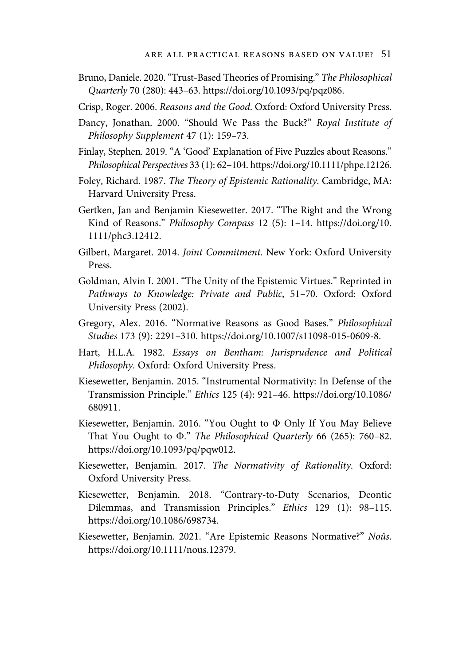- Bruno, Daniele. 2020."Trust-Based Theories of Promising." The Philosophical Quarterly 70 (280): 443–63. https://doi.org/10.1093/pq/pqz086.
- Crisp, Roger. 2006. Reasons and the Good. Oxford: Oxford University Press.
- Dancy, Jonathan. 2000. "Should We Pass the Buck?" Royal Institute of Philosophy Supplement 47 (1): 159–73.
- Finlay, Stephen. 2019. "A 'Good' Explanation of Five Puzzles about Reasons." Philosophical Perspectives 33 (1): 62–104. https://doi.org/10.1111/phpe.12126.
- Foley, Richard. 1987. The Theory of Epistemic Rationality. Cambridge, MA: Harvard University Press.
- Gertken, Jan and Benjamin Kiesewetter. 2017. "The Right and the Wrong Kind of Reasons." Philosophy Compass 12 (5): 1–14. https://doi.org/10. 1111/phc3.12412.
- Gilbert, Margaret. 2014. Joint Commitment. New York: Oxford University Press.
- Goldman, Alvin I. 2001. "The Unity of the Epistemic Virtues." Reprinted in Pathways to Knowledge: Private and Public, 51–70. Oxford: Oxford University Press (2002).
- Gregory, Alex. 2016. "Normative Reasons as Good Bases." Philosophical Studies 173 (9): 2291–310. https://doi.org/10.1007/s11098-015-0609-8.
- Hart, H.L.A. 1982. Essays on Bentham: Jurisprudence and Political Philosophy. Oxford: Oxford University Press.
- Kiesewetter, Benjamin. 2015. "Instrumental Normativity: In Defense of the Transmission Principle." Ethics 125 (4): 921–46. https://doi.org/10.1086/ 680911.
- Kiesewetter, Benjamin. 2016. "You Ought to Φ Only If You May Believe That You Ought to Φ." The Philosophical Quarterly 66 (265): 760–82. https://doi.org/10.1093/pq/pqw012.
- Kiesewetter, Benjamin. 2017. The Normativity of Rationality. Oxford: Oxford University Press.
- Kiesewetter, Benjamin. 2018. "Contrary-to-Duty Scenarios, Deontic Dilemmas, and Transmission Principles." Ethics 129 (1): 98–115. https://doi.org/10.1086/698734.
- Kiesewetter, Benjamin. 2021. "Are Epistemic Reasons Normative?" Noûs. https://doi.org/10.1111/nous.12379.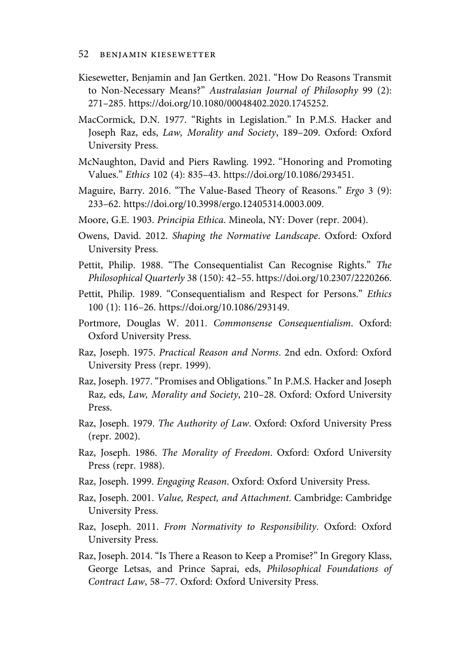- Kiesewetter, Benjamin and Jan Gertken. 2021. "How Do Reasons Transmit to Non-Necessary Means?" Australasian Journal of Philosophy 99 (2): 271–285. https://doi.org/10.1080/00048402.2020.1745252.
- MacCormick, D.N. 1977. "Rights in Legislation." In P.M.S. Hacker and Joseph Raz, eds, Law, Morality and Society, 189–209. Oxford: Oxford University Press.
- McNaughton, David and Piers Rawling. 1992. "Honoring and Promoting Values." Ethics 102 (4): 835–43. https://doi.org/10.1086/293451.
- Maguire, Barry. 2016. "The Value-Based Theory of Reasons." Ergo 3 (9): 233–62. https://doi.org/10.3998/ergo.12405314.0003.009.
- Moore, G.E. 1903. Principia Ethica. Mineola, NY: Dover (repr. 2004).
- Owens, David. 2012. Shaping the Normative Landscape. Oxford: Oxford University Press.
- Pettit, Philip. 1988. "The Consequentialist Can Recognise Rights." The Philosophical Quarterly 38 (150): 42–55. https://doi.org/10.2307/2220266.
- Pettit, Philip. 1989. "Consequentialism and Respect for Persons." Ethics 100 (1): 116–26. https://doi.org/10.1086/293149.
- Portmore, Douglas W. 2011. Commonsense Consequentialism. Oxford: Oxford University Press.
- Raz, Joseph. 1975. Practical Reason and Norms. 2nd edn. Oxford: Oxford University Press (repr. 1999).
- Raz, Joseph. 1977. "Promises and Obligations." In P.M.S. Hacker and Joseph Raz, eds, Law, Morality and Society, 210–28. Oxford: Oxford University Press.
- Raz, Joseph. 1979. The Authority of Law. Oxford: Oxford University Press (repr. 2002).
- Raz, Joseph. 1986. The Morality of Freedom. Oxford: Oxford University Press (repr. 1988).
- Raz, Joseph. 1999. Engaging Reason. Oxford: Oxford University Press.
- Raz, Joseph. 2001. Value, Respect, and Attachment. Cambridge: Cambridge University Press.
- Raz, Joseph. 2011. From Normativity to Responsibility. Oxford: Oxford University Press.
- Raz, Joseph. 2014. "Is There a Reason to Keep a Promise?" In Gregory Klass, George Letsas, and Prince Saprai, eds, Philosophical Foundations of Contract Law, 58–77. Oxford: Oxford University Press.